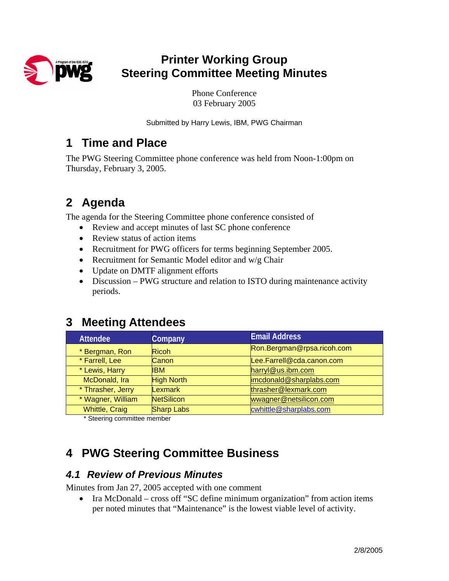

# **Printer Working Group Steering Committee Meeting Minutes**

Phone Conference 03 February 2005

Submitted by Harry Lewis, IBM, PWG Chairman

### **1 Time and Place**

The PWG Steering Committee phone conference was held from Noon-1:00pm on Thursday, February 3, 2005.

# **2 Agenda**

The agenda for the Steering Committee phone conference consisted of

- Review and accept minutes of last SC phone conference
- Review status of action items
- Recruitment for PWG officers for terms beginning September 2005.
- Recruitment for Semantic Model editor and w/g Chair
- Update on DMTF alignment efforts
- Discussion PWG structure and relation to ISTO during maintenance activity periods.

# **3 Meeting Attendees**

| <b>Attendee</b>       | Company           | <b>Email Address</b>       |  |
|-----------------------|-------------------|----------------------------|--|
| * Bergman, Ron        | <b>Ricoh</b>      | Ron.Bergman@rpsa.ricoh.com |  |
| * Farrell, Lee        | Canon             | Lee.Farrell@cda.canon.com  |  |
| * Lewis, Harry        | IBM.              | harryl@us.ibm.com          |  |
| McDonald, Ira         | <b>High North</b> | imcdonald@sharplabs.com    |  |
| * Thrasher, Jerry     | <b>Lexmark</b>    | thrasher@lexmark.com       |  |
| * Wagner, William     | <b>NetSilicon</b> | wwagner@netsilicon.com     |  |
| <b>Whittle, Craig</b> | <b>Sharp Labs</b> | cwhittle@sharplabs.com     |  |

\* Steering committee member

# **4 PWG Steering Committee Business**

#### *4.1 Review of Previous Minutes*

Minutes from Jan 27, 2005 accepted with one comment

• Ira McDonald – cross off "SC define minimum organization" from action items per noted minutes that "Maintenance" is the lowest viable level of activity.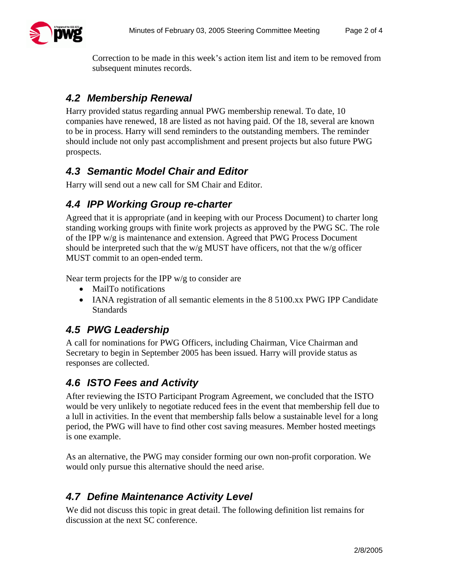

Correction to be made in this week's action item list and item to be removed from subsequent minutes records.

#### *4.2 Membership Renewal*

Harry provided status regarding annual PWG membership renewal. To date, 10 companies have renewed, 18 are listed as not having paid. Of the 18, several are known to be in process. Harry will send reminders to the outstanding members. The reminder should include not only past accomplishment and present projects but also future PWG prospects.

#### *4.3 Semantic Model Chair and Editor*

Harry will send out a new call for SM Chair and Editor.

#### *4.4 IPP Working Group re-charter*

Agreed that it is appropriate (and in keeping with our Process Document) to charter long standing working groups with finite work projects as approved by the PWG SC. The role of the IPP w/g is maintenance and extension. Agreed that PWG Process Document should be interpreted such that the w/g MUST have officers, not that the w/g officer MUST commit to an open-ended term.

Near term projects for the IPP  $w/g$  to consider are

- MailTo notifications
- IANA registration of all semantic elements in the 8 5100.xx PWG IPP Candidate Standards

#### *4.5 PWG Leadership*

A call for nominations for PWG Officers, including Chairman, Vice Chairman and Secretary to begin in September 2005 has been issued. Harry will provide status as responses are collected.

### *4.6 ISTO Fees and Activity*

After reviewing the ISTO Participant Program Agreement, we concluded that the ISTO would be very unlikely to negotiate reduced fees in the event that membership fell due to a lull in activities. In the event that membership falls below a sustainable level for a long period, the PWG will have to find other cost saving measures. Member hosted meetings is one example.

As an alternative, the PWG may consider forming our own non-profit corporation. We would only pursue this alternative should the need arise.

#### *4.7 Define Maintenance Activity Level*

We did not discuss this topic in great detail. The following definition list remains for discussion at the next SC conference.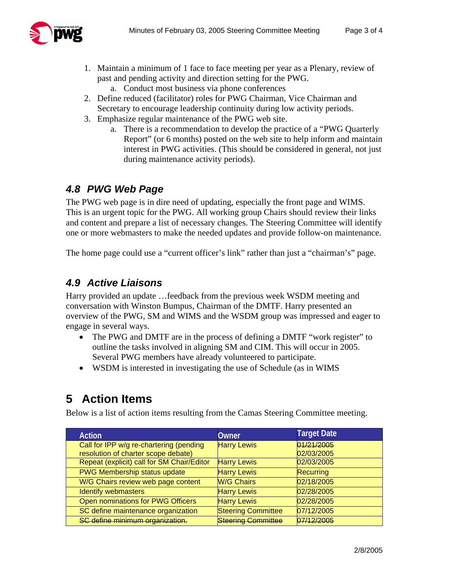

- 1. Maintain a minimum of 1 face to face meeting per year as a Plenary, review of past and pending activity and direction setting for the PWG.
	- a. Conduct most business via phone conferences
- 2. Define reduced (facilitator) roles for PWG Chairman, Vice Chairman and Secretary to encourage leadership continuity during low activity periods.
- 3. Emphasize regular maintenance of the PWG web site.
	- a. There is a recommendation to develop the practice of a "PWG Quarterly Report" (or 6 months) posted on the web site to help inform and maintain interest in PWG activities. (This should be considered in general, not just during maintenance activity periods).

#### *4.8 PWG Web Page*

The PWG web page is in dire need of updating, especially the front page and WIMS. This is an urgent topic for the PWG. All working group Chairs should review their links and content and prepare a list of necessary changes. The Steering Committee will identify one or more webmasters to make the needed updates and provide follow-on maintenance.

The home page could use a "current officer's link" rather than just a "chairman's" page.

#### *4.9 Active Liaisons*

Harry provided an update …feedback from the previous week WSDM meeting and conversation with Winston Bumpus, Chairman of the DMTF. Harry presented an overview of the PWG, SM and WIMS and the WSDM group was impressed and eager to engage in several ways.

- The PWG and DMTF are in the process of defining a DMTF "work register" to outline the tasks involved in aligning SM and CIM. This will occur in 2005. Several PWG members have already volunteered to participate.
- WSDM is interested in investigating the use of Schedule (as in WIMS

## **5 Action Items**

Below is a list of action items resulting from the Camas Steering Committee meeting.

| <b>Action</b>                              | Owner                     | <b>Target Date</b> |
|--------------------------------------------|---------------------------|--------------------|
| Call for IPP w/g re-chartering (pending    | <b>Harry Lewis</b>        | 01/21/2005         |
| resolution of charter scope debate)        |                           | 02/03/2005         |
| Repeat (explicit) call for SM Chair/Editor | <b>Harry Lewis</b>        | 02/03/2005         |
| PWG Membership status update               | <b>Harry Lewis</b>        | Recurring          |
| W/G Chairs review web page content         | <b>W/G Chairs</b>         | 02/18/2005         |
| <b>Identify webmasters</b>                 | <b>Harry Lewis</b>        | 02/28/2005         |
| Open nominations for PWG Officers          | <b>Harry Lewis</b>        | 02/28/2005         |
| SC define maintenance organization         | <b>Steering Committee</b> | 07/12/2005         |
| SC define minimum organization.            | <b>Steering Committee</b> | 07/12/2005         |